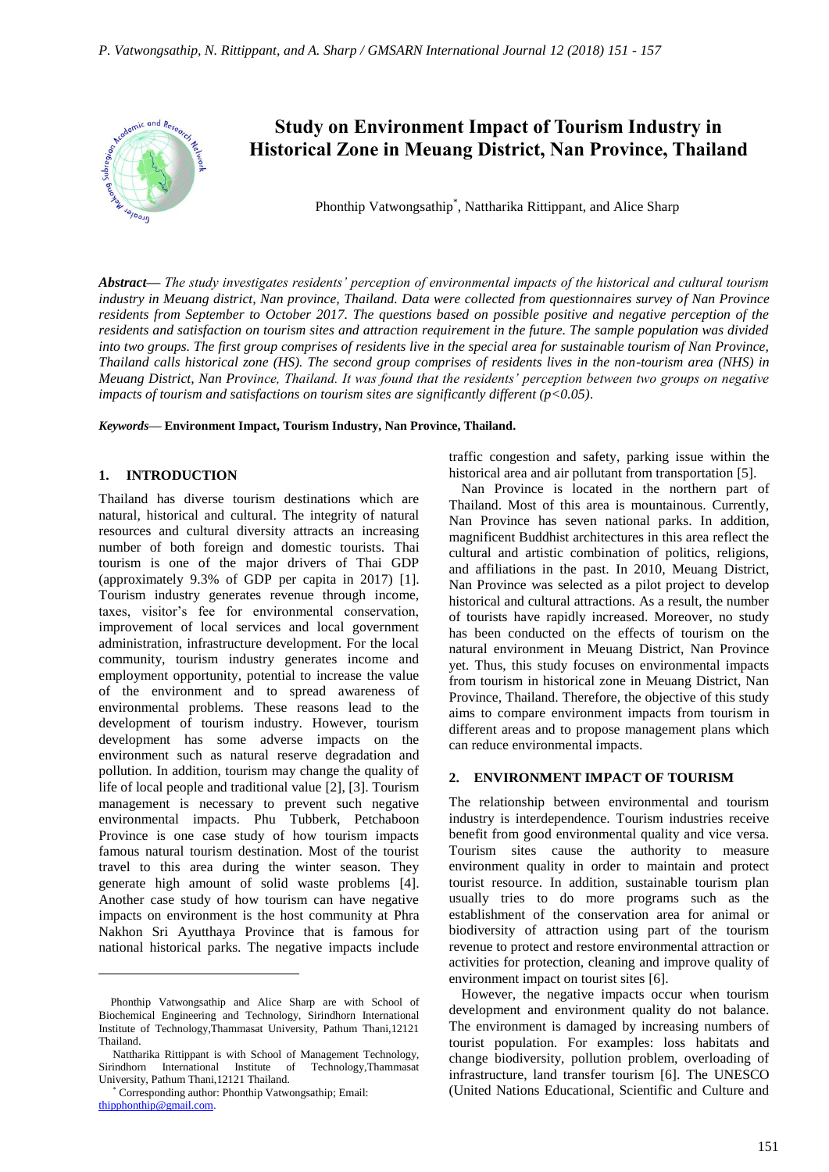

# **Study on Environment Impact of Tourism Industry in Historical Zone in Meuang District, Nan Province, Thailand**

Phonthip Vatwongsathip<sup>\*</sup>, Nattharika Rittippant, and Alice Sharp

*Abstract***—** *The study investigates residents' perception of environmental impacts of the historical and cultural tourism industry in Meuang district, Nan province, Thailand. Data were collected from questionnaires survey of Nan Province residents from September to October 2017. The questions based on possible positive and negative perception of the residents and satisfaction on tourism sites and attraction requirement in the future. The sample population was divided into two groups. The first group comprises of residents live in the special area for sustainable tourism of Nan Province, Thailand calls historical zone (HS). The second group comprises of residents lives in the non-tourism area (NHS) in Meuang District, Nan Province, Thailand. It was found that the residents' perception between two groups on negative impacts of tourism and satisfactions on tourism sites are significantly different (p<0.05).*

*Keywords***— Environment Impact, Tourism Industry, Nan Province, Thailand.**

#### **1. INTRODUCTION**

Thailand has diverse tourism destinations which are natural, historical and cultural. The integrity of natural resources and cultural diversity attracts an increasing number of both foreign and domestic tourists. Thai tourism is one of the major drivers of Thai GDP (approximately 9.3% of GDP per capita in 2017) [1]. Tourism industry generates revenue through income, taxes, visitor's fee for environmental conservation, improvement of local services and local government administration, infrastructure development. For the local community, tourism industry generates income and employment opportunity, potential to increase the value of the environment and to spread awareness of environmental problems. These reasons lead to the development of tourism industry. However, tourism development has some adverse impacts on the environment such as natural reserve degradation and pollution. In addition, tourism may change the quality of life of local people and traditional value [2], [3]. Tourism management is necessary to prevent such negative environmental impacts. Phu Tubberk, Petchaboon Province is one case study of how tourism impacts famous natural tourism destination. Most of the tourist travel to this area during the winter season. They generate high amount of solid waste problems [4]. Another case study of how tourism can have negative impacts on environment is the host community at Phra Nakhon Sri Ayutthaya Province that is famous for national historical parks. The negative impacts include

 $\overline{a}$ 

traffic congestion and safety, parking issue within the historical area and air pollutant from transportation [5].

Nan Province is located in the northern part of Thailand. Most of this area is mountainous. Currently, Nan Province has seven national parks. In addition, magnificent Buddhist architectures in this area reflect the cultural and artistic combination of politics, religions, and affiliations in the past. In 2010, Meuang District, Nan Province was selected as a pilot project to develop historical and cultural attractions. As a result, the number of tourists have rapidly increased. Moreover, no study has been conducted on the effects of tourism on the natural environment in Meuang District, Nan Province yet. Thus, this study focuses on environmental impacts from tourism in historical zone in Meuang District, Nan Province, Thailand. Therefore, the objective of this study aims to compare environment impacts from tourism in different areas and to propose management plans which can reduce environmental impacts.

### **2. ENVIRONMENT IMPACT OF TOURISM**

The relationship between environmental and tourism industry is interdependence. Tourism industries receive benefit from good environmental quality and vice versa. Tourism sites cause the authority to measure environment quality in order to maintain and protect tourist resource. In addition, sustainable tourism plan usually tries to do more programs such as the establishment of the conservation area for animal or biodiversity of attraction using part of the tourism revenue to protect and restore environmental attraction or activities for protection, cleaning and improve quality of environment impact on tourist sites [6].

However, the negative impacts occur when tourism development and environment quality do not balance. The environment is damaged by increasing numbers of tourist population. For examples: loss habitats and change biodiversity, pollution problem, overloading of infrastructure, land transfer tourism [6]. The UNESCO (United Nations Educational, Scientific and Culture and

Phonthip Vatwongsathip and Alice Sharp are with School of Biochemical Engineering and Technology, Sirindhorn International Institute of Technology,Thammasat University, Pathum Thani,12121 Thailand.

Nattharika Rittippant is with School of Management Technology, Sirindhorn International Institute of Technology,Thammasat University, Pathum Thani,12121 Thailand.

<sup>\*</sup> Corresponding author: Phonthip Vatwongsathip; Email: [thipphonthip@gmail.com.](mailto:thipphonthip@gmail.com)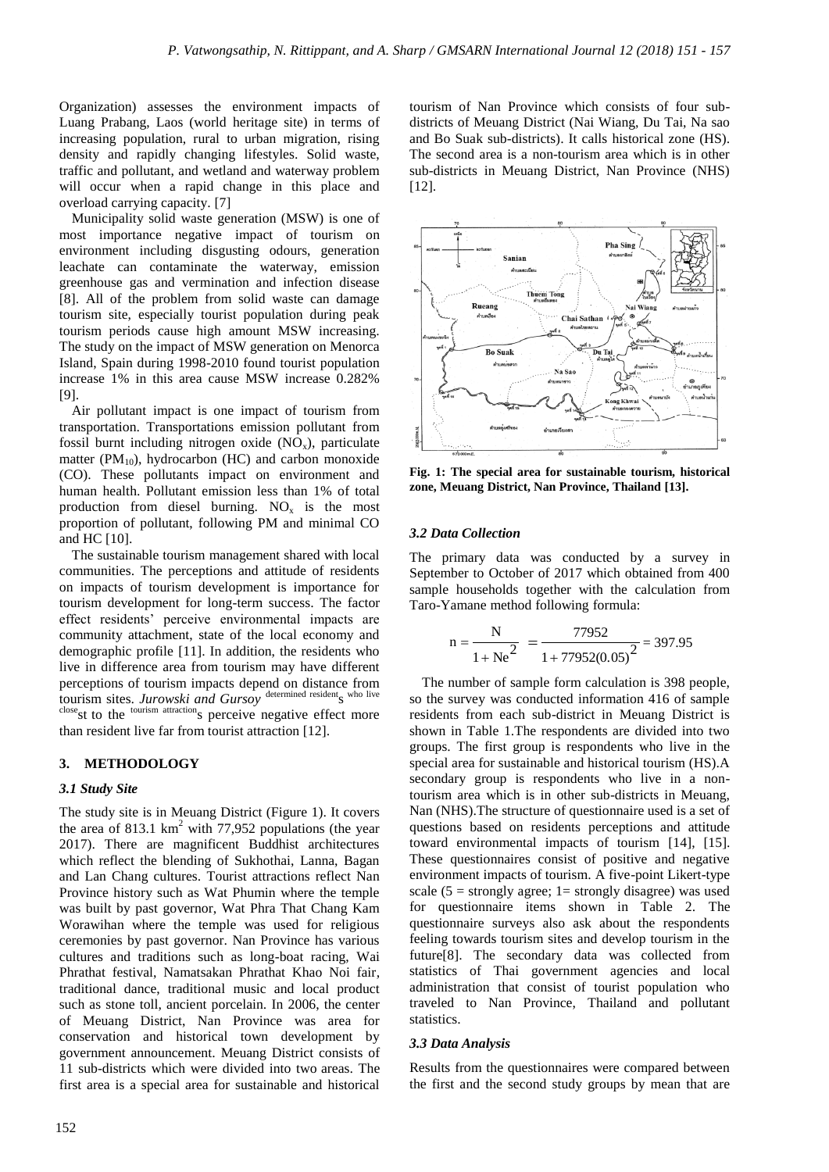Organization) assesses the environment impacts of Luang Prabang, Laos (world heritage site) in terms of increasing population, rural to urban migration, rising density and rapidly changing lifestyles. Solid waste, traffic and pollutant, and wetland and waterway problem will occur when a rapid change in this place and overload carrying capacity. [7]

Municipality solid waste generation (MSW) is one of most importance negative impact of tourism on environment including disgusting odours, generation leachate can contaminate the waterway, emission greenhouse gas and vermination and infection disease [8]. All of the problem from solid waste can damage tourism site, especially tourist population during peak tourism periods cause high amount MSW increasing. The study on the impact of MSW generation on Menorca Island, Spain during 1998-2010 found tourist population increase 1% in this area cause MSW increase 0.282% [9].

Air pollutant impact is one impact of tourism from transportation. Transportations emission pollutant from fossil burnt including nitrogen oxide  $(NO<sub>x</sub>)$ , particulate matter ( $PM_{10}$ ), hydrocarbon (HC) and carbon monoxide (CO). These pollutants impact on environment and human health. Pollutant emission less than 1% of total production from diesel burning.  $NO<sub>x</sub>$  is the most proportion of pollutant, following PM and minimal CO and HC [10].

The sustainable tourism management shared with local communities. The perceptions and attitude of residents on impacts of tourism development is importance for tourism development for long-term success. The factor effect residents' perceive environmental impacts are community attachment, state of the local economy and demographic profile [11]. In addition, the residents who live in difference area from tourism may have different perceptions of tourism impacts depend on distance from tourism sites. Jurowski and Gursoy determined resident<sub>S</sub> who live closest to the <sup>tourism attraction</sup>s perceive negative effect more than resident live far from tourist attraction [12].

#### **3. METHODOLOGY**

#### *3.1 Study Site*

The study site is in Meuang District (Figure 1). It covers the area of 813.1 km<sup>2</sup> with 77,952 populations (the year 2017). There are magnificent Buddhist architectures which reflect the blending of Sukhothai, Lanna, Bagan and Lan Chang cultures. Tourist attractions reflect Nan Province history such as Wat Phumin where the temple was built by past governor, Wat Phra That Chang Kam Worawihan where the temple was used for religious ceremonies by past governor. Nan Province has various cultures and traditions such as long-boat racing, Wai Phrathat festival, Namatsakan Phrathat Khao Noi fair, traditional dance, traditional music and local product such as stone toll, ancient porcelain. In 2006, the center of Meuang District, Nan Province was area for conservation and historical town development by government announcement. Meuang District consists of 11 sub-districts which were divided into two areas. The first area is a special area for sustainable and historical

tourism of Nan Province which consists of four subdistricts of Meuang District (Nai Wiang, Du Tai, Na sao and Bo Suak sub-districts). It calls historical zone (HS). The second area is a non-tourism area which is in other sub-districts in Meuang District, Nan Province (NHS) [12].



**Fig. 1: The special area for sustainable tourism, historical zone, Meuang District, Nan Province, Thailand [13].**

#### *3.2 Data Collection*

The primary data was conducted by a survey in September to October of 2017 which obtained from 400 sample households together with the calculation from Taro-Yamane method following formula:

$$
n = \frac{N}{1 + Ne^2} = \frac{77952}{1 + 77952(0.05)^2} = 397.95
$$

The number of sample form calculation is 398 people, so the survey was conducted information 416 of sample residents from each sub-district in Meuang District is shown in Table 1.The respondents are divided into two groups. The first group is respondents who live in the special area for sustainable and historical tourism (HS).A secondary group is respondents who live in a nontourism area which is in other sub-districts in Meuang, Nan (NHS).The structure of questionnaire used is a set of questions based on residents perceptions and attitude toward environmental impacts of tourism [14], [15]. These questionnaires consist of positive and negative environment impacts of tourism. A five-point Likert-type scale ( $5 =$  strongly agree; 1= strongly disagree) was used for questionnaire items shown in Table 2. The questionnaire surveys also ask about the respondents feeling towards tourism sites and develop tourism in the future[8]. The secondary data was collected from statistics of Thai government agencies and local administration that consist of tourist population who traveled to Nan Province, Thailand and pollutant statistics.

#### *3.3 Data Analysis*

Results from the questionnaires were compared between the first and the second study groups by mean that are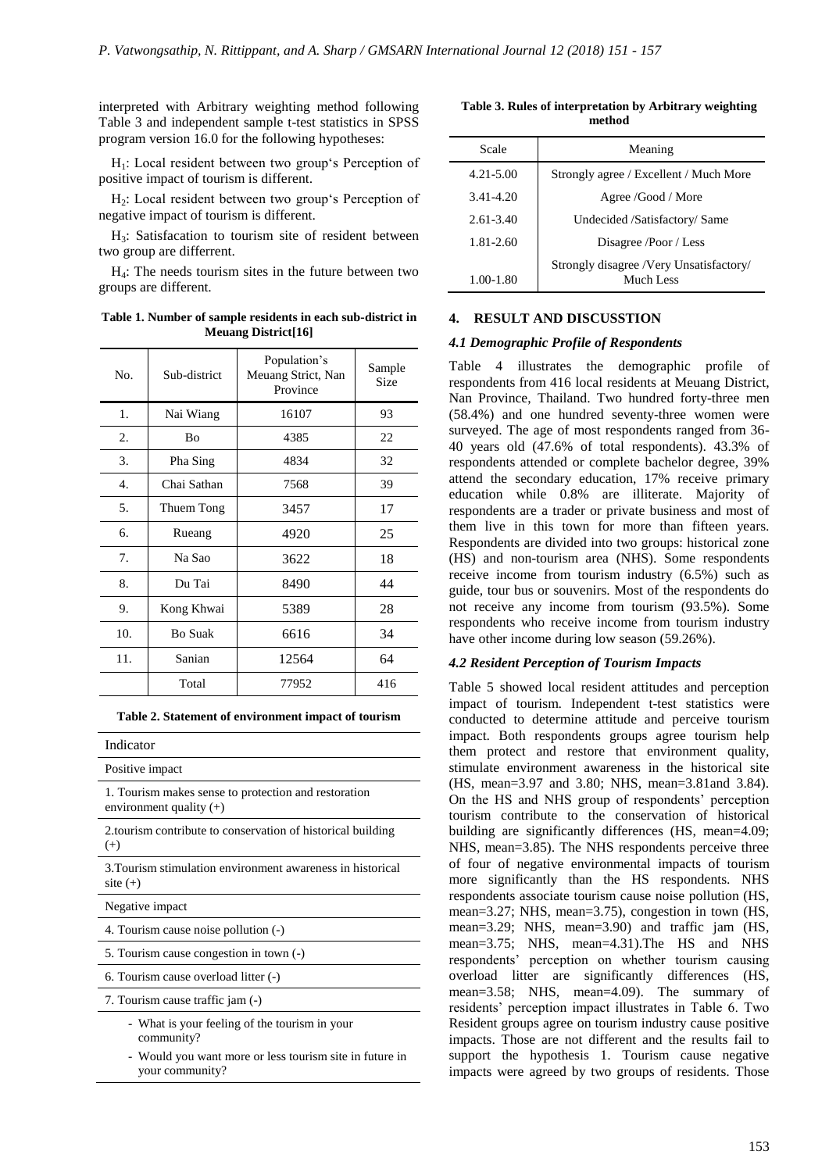interpreted with Arbitrary weighting method following Table 3 and independent sample t-test statistics in SPSS program version 16.0 for the following hypotheses:

H1: Local resident between two group's Perception of positive impact of tourism is different.

H<sub>2</sub>: Local resident between two group's Perception of negative impact of tourism is different.

H3: Satisfacation to tourism site of resident between two group are differrent.

H4: The needs tourism sites in the future between two groups are different.

**Table 1. Number of sample residents in each sub-district in Meuang District[16]**

| No.              | Sub-district   | Population's<br>Meuang Strict, Nan<br>Province | Sample<br>Size |
|------------------|----------------|------------------------------------------------|----------------|
| 1.               | Nai Wiang      | 16107                                          | 93             |
| 2.               | Bο             | 4385                                           | 22             |
| 3.               | Pha Sing       | 4834                                           | 32             |
| $\overline{4}$ . | Chai Sathan    | 7568                                           | 39             |
| 5.               | Thuem Tong     | 3457                                           | 17             |
| б.               | Rueang         | 4920                                           | 25             |
| 7.               | Na Sao         | 3622                                           | 18             |
| 8.               | Du Tai         | 8490                                           | 44             |
| 9.               | Kong Khwai     | 5389                                           | 28             |
| 10.              | <b>Bo Suak</b> | 6616                                           | 34             |
| 11.              | Sanian         | 12564                                          | 64             |
|                  | Total          | 77952                                          | 416            |

**Table 2. Statement of environment impact of tourism**

| Table 2. Statement of environment impact of tourism                               |
|-----------------------------------------------------------------------------------|
| Indicator                                                                         |
| Positive impact                                                                   |
| 1. Tourism makes sense to protection and restoration<br>environment quality $(+)$ |
| 2. tourism contribute to conservation of historical building<br>$^{(+)}$          |
| 3. Tourism stimulation environment awareness in historical<br>site $(+)$          |
| Negative impact                                                                   |
| 4. Tourism cause noise pollution (-)                                              |
| 5. Tourism cause congestion in town (-)                                           |
| 6. Tourism cause overload litter (-)                                              |
| 7. Tourism cause traffic jam (-)                                                  |
| - What is your feeling of the tourism in your<br>community?                       |

- Would you want more or less tourism site in future in your community?

**Table 3. Rules of interpretation by Arbitrary weighting method**

| Scale         | Meaning                                              |
|---------------|------------------------------------------------------|
| $4.21 - 5.00$ | Strongly agree / Excellent / Much More               |
| 3.41-4.20     | Agree /Good / More                                   |
| $2.61 - 3.40$ | Undecided /Satisfactory/ Same                        |
| 1.81-2.60     | Disagree /Poor / Less                                |
| 1.00-1.80     | Strongly disagree /Very Unsatisfactory/<br>Much Less |

#### **4. RESULT AND DISCUSSTION**

#### *4.1 Demographic Profile of Respondents*

Table 4 illustrates the demographic profile of respondents from 416 local residents at Meuang District, Nan Province, Thailand. Two hundred forty-three men (58.4%) and one hundred seventy-three women were surveyed. The age of most respondents ranged from 36- 40 years old (47.6% of total respondents). 43.3% of respondents attended or complete bachelor degree, 39% attend the secondary education, 17% receive primary education while 0.8% are illiterate. Majority of respondents are a trader or private business and most of them live in this town for more than fifteen years. Respondents are divided into two groups: historical zone (HS) and non-tourism area (NHS). Some respondents receive income from tourism industry (6.5%) such as guide, tour bus or souvenirs. Most of the respondents do not receive any income from tourism (93.5%). Some respondents who receive income from tourism industry have other income during low season (59.26%).

#### *4.2 Resident Perception of Tourism Impacts*

Table 5 showed local resident attitudes and perception impact of tourism. Independent t-test statistics were conducted to determine attitude and perceive tourism impact. Both respondents groups agree tourism help them protect and restore that environment quality, stimulate environment awareness in the historical site (HS, mean=3.97 and 3.80; NHS, mean=3.81and 3.84). On the HS and NHS group of respondents' perception tourism contribute to the conservation of historical building are significantly differences (HS, mean=4.09; NHS, mean=3.85). The NHS respondents perceive three of four of negative environmental impacts of tourism more significantly than the HS respondents. NHS respondents associate tourism cause noise pollution (HS, mean=3.27; NHS, mean=3.75), congestion in town (HS, mean=3.29; NHS, mean=3.90) and traffic jam (HS, mean=3.75; NHS, mean=4.31).The HS and NHS respondents' perception on whether tourism causing overload litter are significantly differences (HS, mean=3.58; NHS, mean=4.09). The summary of residents' perception impact illustrates in Table 6. Two Resident groups agree on tourism industry cause positive impacts. Those are not different and the results fail to support the hypothesis 1. Tourism cause negative impacts were agreed by two groups of residents. Those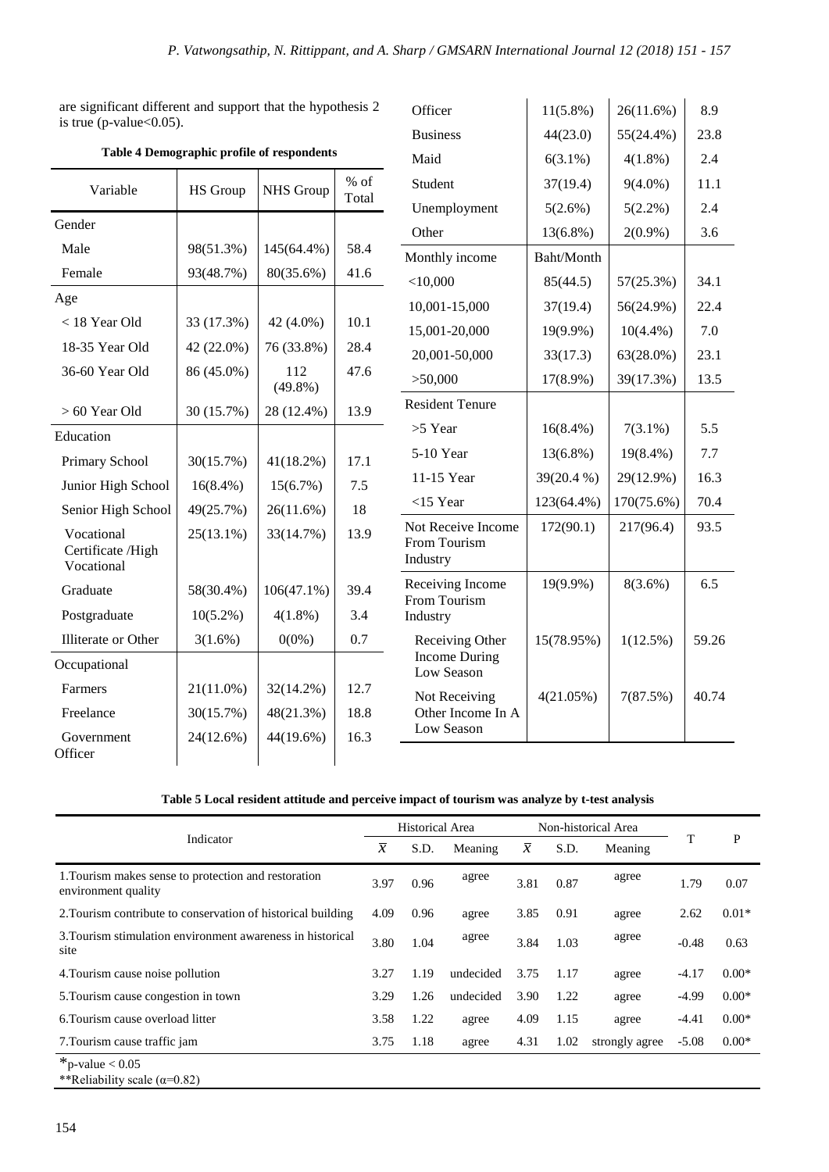are significant different and support that the hypothesis 2 is true (p-value $<$ 0.05).

| Variable                                      | <b>HS</b> Group | <b>NHS</b> Group  | $%$ of<br>Total |
|-----------------------------------------------|-----------------|-------------------|-----------------|
| Gender                                        |                 |                   |                 |
| Male                                          | 98(51.3%)       | 145(64.4%)        | 58.4            |
| Female                                        | 93(48.7%)       | 80(35.6%)         | 41.6            |
| Age                                           |                 |                   |                 |
| $<$ 18 Year Old                               | 33 (17.3%)      | 42 (4.0%)         | 10.1            |
| 18-35 Year Old                                | 42 (22.0%)      | 76 (33.8%)        | 28.4            |
| 36-60 Year Old                                | 86 (45.0%)      | 112<br>$(49.8\%)$ | 47.6            |
| $> 60$ Year Old                               | 30 (15.7%)      | 28 (12.4%)        | 13.9            |
| Education                                     |                 |                   |                 |
| Primary School                                | 30(15.7%)       | $41(18.2\%)$      | 17.1            |
| Junior High School                            | $16(8.4\%)$     | 15(6.7%)          | 7.5             |
| Senior High School                            | 49(25.7%)       | 26(11.6%)         | 18              |
| Vocational<br>Certificate /High<br>Vocational | $25(13.1\%)$    | 33(14.7%)         | 13.9            |
| Graduate                                      | 58(30.4%)       | $106(47.1\%)$     | 39.4            |
| Postgraduate                                  | $10(5.2\%)$     | $4(1.8\%)$        | 3.4             |
| Illiterate or Other                           | 3(1.6%)         | $0(0\%)$          | 0.7             |
| Occupational                                  |                 |                   |                 |
| Farmers                                       | $21(11.0\%)$    | 32(14.2%)         | 12.7            |
| Freelance                                     | 30(15.7%)       | 48(21.3%)         | 18.8            |
| Government<br>Officer                         | 24(12.6%)       | 44(19.6%)         | 16.3            |

|  |  | Table 4 Demographic profile of respondents |  |  |
|--|--|--------------------------------------------|--|--|
|--|--|--------------------------------------------|--|--|

| Officer                                               | 11(5.8%)    | 26(11.6%)    | 8.9   |
|-------------------------------------------------------|-------------|--------------|-------|
| <b>Business</b>                                       | 44(23.0)    | 55(24.4%)    | 23.8  |
| Maid                                                  | $6(3.1\%)$  | $4(1.8\%)$   | 2.4   |
| Student                                               | 37(19.4)    | $9(4.0\%)$   | 11.1  |
| Unemployment                                          | 5(2.6%)     | $5(2.2\%)$   | 2.4   |
| Other                                                 | 13(6.8%)    | $2(0.9\%)$   | 3.6   |
| Monthly income                                        | Baht/Month  |              |       |
| $<$ 10,000                                            | 85(44.5)    | 57(25.3%)    | 34.1  |
| 10,001-15,000                                         | 37(19.4)    | 56(24.9%)    | 22.4  |
| 15,001-20,000                                         | 19(9.9%)    | $10(4.4\%)$  | 7.0   |
| 20,001-50,000                                         | 33(17.3)    | $63(28.0\%)$ | 23.1  |
| >50,000                                               | 17(8.9%)    | 39(17.3%)    | 13.5  |
| <b>Resident Tenure</b>                                |             |              |       |
| $>5$ Year                                             | $16(8.4\%)$ | $7(3.1\%)$   | 5.5   |
| 5-10 Year                                             | 13(6.8%)    | 19(8.4%)     | 7.7   |
| 11-15 Year                                            | 39(20.4 %)  | 29(12.9%)    | 16.3  |
| $<$ 15 Year                                           | 123(64.4%)  | 170(75.6%)   | 70.4  |
| Not Receive Income<br>From Tourism<br>Industry        | 172(90.1)   | 217(96.4)    | 93.5  |
| Receiving Income<br>From Tourism<br>Industry          | 19(9.9%)    | $8(3.6\%)$   | 6.5   |
| Receiving Other<br><b>Income During</b><br>Low Season | 15(78.95%)  | 1(12.5%)     | 59.26 |
| Not Receiving<br>Other Income In A<br>Low Season      | 4(21.05%)   | 7(87.5%)     | 40.74 |

## **Table 5 Local resident attitude and perceive impact of tourism was analyze by t-test analysis**

|                                                                             |               | <b>Historical Area</b> |           | Non-historical Area |      |                |         |              |
|-----------------------------------------------------------------------------|---------------|------------------------|-----------|---------------------|------|----------------|---------|--------------|
| Indicator                                                                   | $\mathcal{X}$ | S.D.                   | Meaning   | $\mathcal{X}$       | S.D. | Meaning        | T       | $\mathbf{P}$ |
| 1. Tourism makes sense to protection and restoration<br>environment quality | 3.97          | 0.96                   | agree     | 3.81                | 0.87 | agree          | 1.79    | 0.07         |
| 2. Tourism contribute to conservation of historical building                | 4.09          | 0.96                   | agree     | 3.85                | 0.91 | agree          | 2.62    | $0.01*$      |
| 3. Tourism stimulation environment awareness in historical<br>site          | 3.80          | 1.04                   | agree     | 3.84                | 1.03 | agree          | $-0.48$ | 0.63         |
| 4. Tourism cause noise pollution                                            | 3.27          | 1.19                   | undecided | 3.75                | 1.17 | agree          | $-4.17$ | $0.00*$      |
| 5. Tourism cause congestion in town                                         | 3.29          | 1.26                   | undecided | 3.90                | 1.22 | agree          | $-4.99$ | $0.00*$      |
| 6. Tourism cause overload litter                                            | 3.58          | 1.22                   | agree     | 4.09                | 1.15 | agree          | $-4.41$ | $0.00*$      |
| 7. Tourism cause traffic jam                                                | 3.75          | 1.18                   | agree     | 4.31                | 1.02 | strongly agree | $-5.08$ | $0.00*$      |
| $*_{p-value} < 0.05$<br>**Reliability scale ( $\alpha$ =0.82)               |               |                        |           |                     |      |                |         |              |

154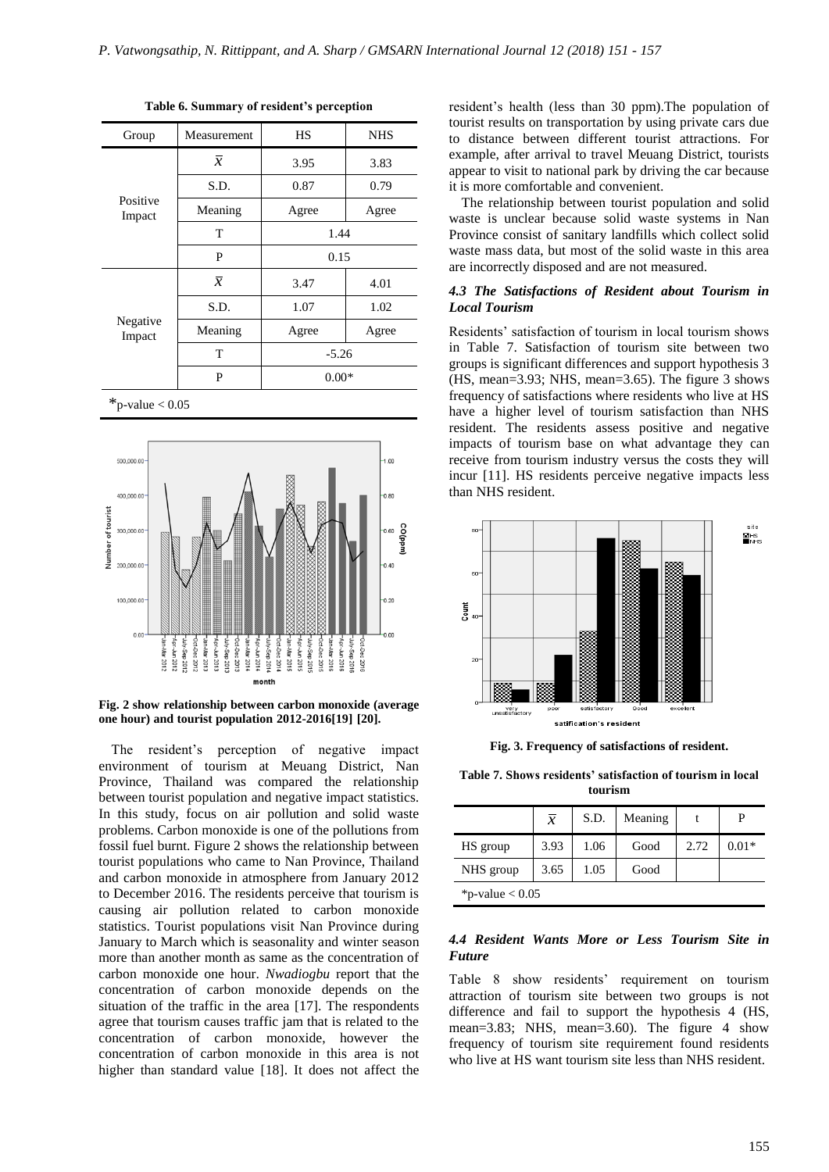| Group              | Measurement    | HS      | <b>NHS</b> |  |
|--------------------|----------------|---------|------------|--|
|                    | $\overline{x}$ | 3.95    | 3.83       |  |
| Positive<br>Impact | S.D.           | 0.87    | 0.79       |  |
|                    | Meaning        | Agree   | Agree      |  |
|                    | T              | 1.44    |            |  |
|                    | P              | 0.15    |            |  |
|                    | $\overline{x}$ | 3.47    | 4.01       |  |
| Negative<br>Impact | S.D.           | 1.07    | 1.02       |  |
|                    | Meaning        | Agree   | Agree      |  |
|                    | T              | $-5.26$ |            |  |
|                    | P              | $0.00*$ |            |  |

**Table 6. Summary of resident's perception**

 $*_{p-value} < 0.05$ 



**Fig. 2 show relationship between carbon monoxide (average one hour) and tourist population 2012-2016[19] [20].**

The resident's perception of negative impact environment of tourism at Meuang District, Nan Province, Thailand was compared the relationship between tourist population and negative impact statistics. In this study, focus on air pollution and solid waste problems. Carbon monoxide is one of the pollutions from fossil fuel burnt. Figure 2 shows the relationship between tourist populations who came to Nan Province, Thailand and carbon monoxide in atmosphere from January 2012 to December 2016. The residents perceive that tourism is causing air pollution related to carbon monoxide statistics. Tourist populations visit Nan Province during January to March which is seasonality and winter season more than another month as same as the concentration of carbon monoxide one hour. *Nwadiogbu* report that the concentration of carbon monoxide depends on the situation of the traffic in the area [17]. The respondents agree that tourism causes traffic jam that is related to the concentration of carbon monoxide, however the concentration of carbon monoxide in this area is not higher than standard value [18]. It does not affect the

resident's health (less than 30 ppm).The population of tourist results on transportation by using private cars due to distance between different tourist attractions. For example, after arrival to travel Meuang District, tourists appear to visit to national park by driving the car because it is more comfortable and convenient.

The relationship between tourist population and solid waste is unclear because solid waste systems in Nan Province consist of sanitary landfills which collect solid waste mass data, but most of the solid waste in this area are incorrectly disposed and are not measured.

#### *4.3 The Satisfactions of Resident about Tourism in Local Tourism*

Residents' satisfaction of tourism in local tourism shows in Table 7. Satisfaction of tourism site between two groups is significant differences and support hypothesis 3 (HS, mean=3.93; NHS, mean=3.65). The figure 3 shows frequency of satisfactions where residents who live at HS have a higher level of tourism satisfaction than NHS resident. The residents assess positive and negative impacts of tourism base on what advantage they can receive from tourism industry versus the costs they will incur [11]. HS residents perceive negative impacts less than NHS resident.



**Fig. 3. Frequency of satisfactions of resident.**

**Table 7. Shows residents' satisfaction of tourism in local tourism**

| S.D.<br>Meaning<br>P<br>$\overline{x}$              |  |  |  |  |  |  |  |  |
|-----------------------------------------------------|--|--|--|--|--|--|--|--|
| 3.93<br>1.06<br>2.72<br>$0.01*$<br>HS group<br>Good |  |  |  |  |  |  |  |  |
| 3.65<br>1.05<br>NHS group<br>Good                   |  |  |  |  |  |  |  |  |
| *p-value $< 0.05$                                   |  |  |  |  |  |  |  |  |

#### *4.4 Resident Wants More or Less Tourism Site in Future*

Table 8 show residents' requirement on tourism attraction of tourism site between two groups is not difference and fail to support the hypothesis 4 (HS, mean=3.83; NHS, mean=3.60). The figure 4 show frequency of tourism site requirement found residents who live at HS want tourism site less than NHS resident.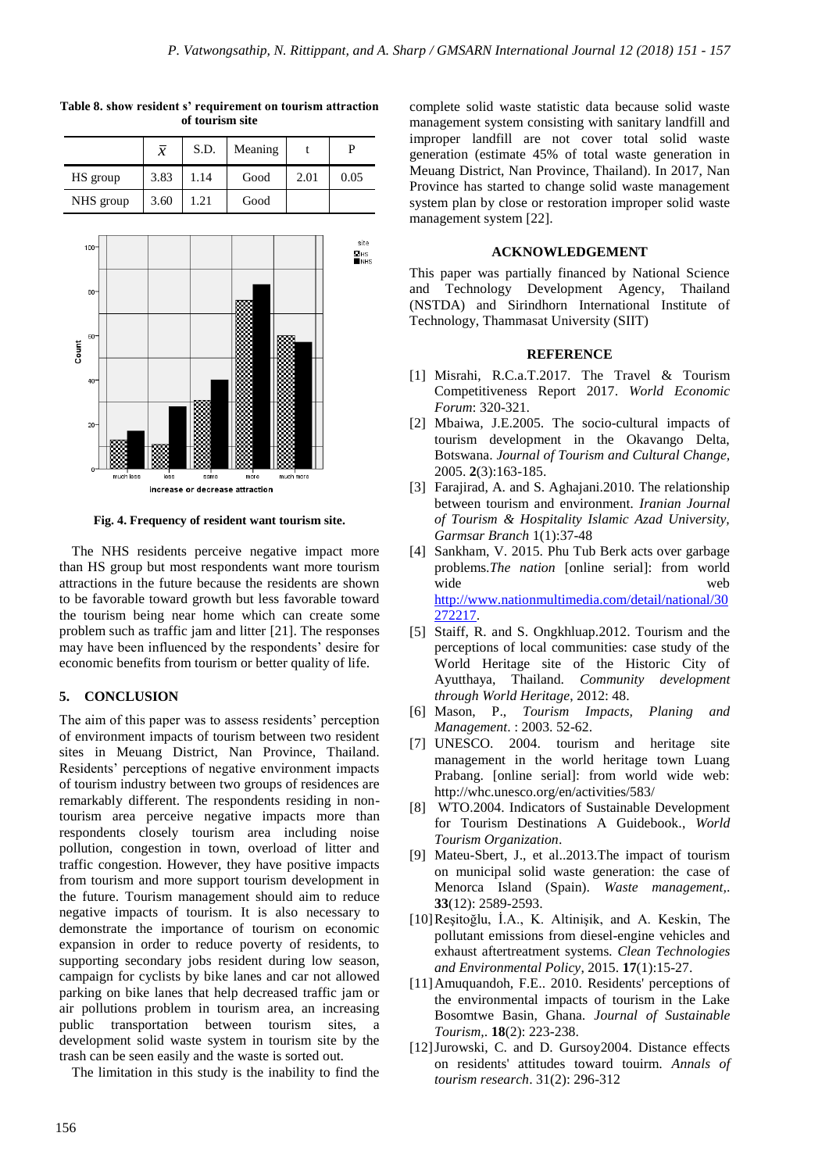|           | $\overline{x}$ | S.D. | Meaning |      | D    |
|-----------|----------------|------|---------|------|------|
| HS group  | 3.83           | 1.14 | Good    | 2.01 | 0.05 |
| NHS group | 3.60           | 1.21 | Good    |      |      |

**Table 8. show resident s' requirement on tourism attraction of tourism site**



**Fig. 4. Frequency of resident want tourism site.**

The NHS residents perceive negative impact more than HS group but most respondents want more tourism attractions in the future because the residents are shown to be favorable toward growth but less favorable toward the tourism being near home which can create some problem such as traffic jam and litter [21]. The responses may have been influenced by the respondents' desire for economic benefits from tourism or better quality of life.

### **5. CONCLUSION**

The aim of this paper was to assess residents' perception of environment impacts of tourism between two resident sites in Meuang District, Nan Province, Thailand. Residents' perceptions of negative environment impacts of tourism industry between two groups of residences are remarkably different. The respondents residing in nontourism area perceive negative impacts more than respondents closely tourism area including noise pollution, congestion in town, overload of litter and traffic congestion. However, they have positive impacts from tourism and more support tourism development in the future. Tourism management should aim to reduce negative impacts of tourism. It is also necessary to demonstrate the importance of tourism on economic expansion in order to reduce poverty of residents, to supporting secondary jobs resident during low season, campaign for cyclists by bike lanes and car not allowed parking on bike lanes that help decreased traffic jam or air pollutions problem in tourism area, an increasing public transportation between tourism sites, a development solid waste system in tourism site by the trash can be seen easily and the waste is sorted out.

The limitation in this study is the inability to find the

complete solid waste statistic data because solid waste management system consisting with sanitary landfill and improper landfill are not cover total solid waste generation (estimate 45% of total waste generation in Meuang District, Nan Province, Thailand). In 2017, Nan Province has started to change solid waste management system plan by close or restoration improper solid waste management system [22].

#### **ACKNOWLEDGEMENT**

This paper was partially financed by National Science and Technology Development Agency, Thailand (NSTDA) and Sirindhorn International Institute of Technology, Thammasat University (SIIT)

#### **REFERENCE**

- [1] Misrahi, R.C.a.T.2017. The Travel & Tourism Competitiveness Report 2017. *World Economic Forum*: 320-321.
- [2] Mbaiwa, J.E.2005. The socio-cultural impacts of tourism development in the Okavango Delta, Botswana. *Journal of Tourism and Cultural Change,* 2005. **2**(3):163-185.
- [3] Farajirad, A. and S. Aghajani.2010. The relationship between tourism and environment*. Iranian Journal of Tourism & Hospitality Islamic Azad University, Garmsar Branch* 1(1):37-48
- [4] Sankham, V. 2015. Phu Tub Berk acts over garbage problems.*The nation* [online serial]: from world wide web [http://www.nationmultimedia.com/detail/national/30](http://www.nationmultimedia.com/detail/national/30272217) [272217.](http://www.nationmultimedia.com/detail/national/30272217)
- [5] Staiff, R. and S. Ongkhluap.2012. Tourism and the perceptions of local communities: case study of the World Heritage site of the Historic City of Ayutthaya, Thailand. *Community development through World Heritage*, 2012: 48.
- [6] Mason, P., *Tourism Impacts, Planing and Management*. : 2003. 52-62.
- [7] UNESCO. 2004. tourism and heritage site management in the world heritage town Luang Prabang. [online serial]: from world wide web: http://whc.unesco.org/en/activities/583/
- [8] WTO.2004. Indicators of Sustainable Development for Tourism Destinations A Guidebook., *World Tourism Organization*.
- [9] Mateu-Sbert, J., et al..2013.The impact of tourism on municipal solid waste generation: the case of Menorca Island (Spain). *Waste management,*. **33**(12): 2589-2593.
- [10]Reşitoğlu, İ.A., K. Altinişik, and A. Keskin, The pollutant emissions from diesel-engine vehicles and exhaust aftertreatment systems*. Clean Technologies and Environmental Policy*, 2015. **17**(1):15-27.
- [11]Amuquandoh, F.E.. 2010. Residents' perceptions of the environmental impacts of tourism in the Lake Bosomtwe Basin, Ghana*. Journal of Sustainable Tourism,*. **18**(2): 223-238.
- [12]Jurowski, C. and D. Gursoy2004. Distance effects on residents' attitudes toward touirm. *Annals of tourism research*. 31(2): 296-312